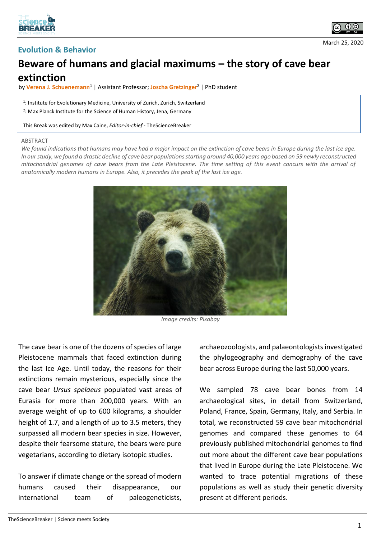



March 25, 2020

## **Evolution & Behavior**

## **Beware of humans and glacial maximums – the story of cave bear extinction**

by **Verena J. Schuenemann<sup>1</sup>** | Assistant Professor; **Joscha Gretzinger<sup>2</sup>** | PhD student

<sup>1</sup>: Institute for Evolutionary Medicine, University of Zurich, Zurich, Switzerland 2 : Max Planck Institute for the Science of Human History, Jena, Germany

This Break was edited by Max Caine, *Editor-in-chief* - TheScienceBreaker

## ABSTRACT

*We found indications that humans may have had a major impact on the extinction of cave bears in Europe during the last ice age. In our study, we found a drastic decline of cave bear populations starting around 40,000 years ago based on 59 newly reconstructed mitochondrial genomes of cave bears from the Late Pleistocene. The time setting of this event concurs with the arrival of anatomically modern humans in Europe. Also, it precedes the peak of the last ice age.*



*Image credits: Pixabay*

The cave bear is one of the dozens of species of large Pleistocene mammals that faced extinction during the last Ice Age. Until today, the reasons for their extinctions remain mysterious, especially since the cave bear *Ursus spelaeus* populated vast areas of Eurasia for more than 200,000 years. With an average weight of up to 600 kilograms, a shoulder height of 1.7, and a length of up to 3.5 meters, they surpassed all modern bear species in size. However, despite their fearsome stature, the bears were pure vegetarians, according to dietary isotopic studies.

To answer if climate change or the spread of modern humans caused their disappearance, our international team of paleogeneticists, archaeozoologists, and palaeontologists investigated the phylogeography and demography of the cave bear across Europe during the last 50,000 years.

We sampled 78 cave bear bones from 14 archaeological sites, in detail from Switzerland, Poland, France, Spain, Germany, Italy, and Serbia. In total, we reconstructed 59 cave bear mitochondrial genomes and compared these genomes to 64 previously published mitochondrial genomes to find out more about the different cave bear populations that lived in Europe during the Late Pleistocene. We wanted to trace potential migrations of these populations as well as study their genetic diversity present at different periods.